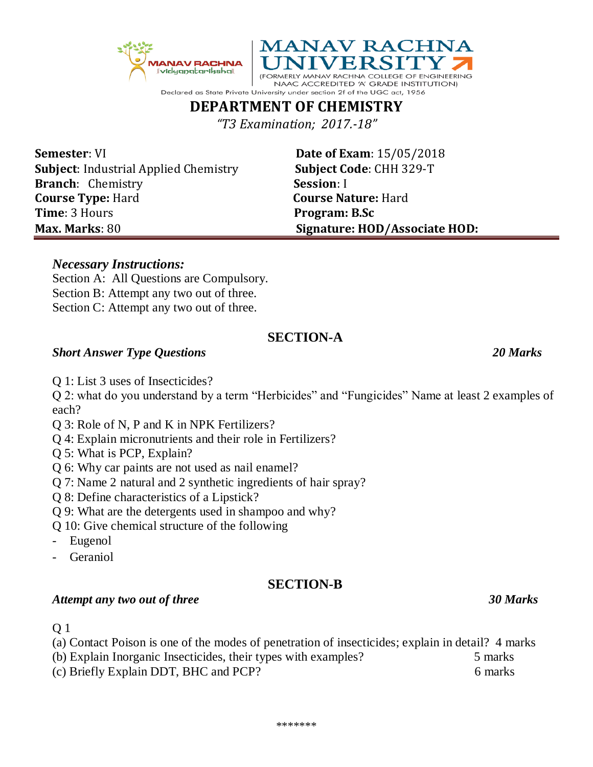**DEPARTMENT OF CHEMISTRY** *"T3 Examination; 2017.-18"*

Declared as State Private University under section 2f of the UGC act, 1956

**Semester**: VI **Date of Exam**: 15/05/2018 **Subject**: Industrial Applied Chemistry **Subject Code**: CHH 329-T **Branch**: Chemistry **Session**: I **Course Type:** Hard **Course Nature:** Hard **Time**: 3 Hours **Program: B.Sc Max. Marks**: 80 **Signature: HOD/Associate HOD:**

NAAC ACCREDITED 'A' GRADE INSTITUTION)

## *Necessary Instructions:*

Section A: All Questions are Compulsory. Section B: Attempt any two out of three. Section C: Attempt any two out of three.

# **SECTION-A**

## *Short Answer Type Questions 20 Marks*

Q 1: List 3 uses of Insecticides?

Q 2: what do you understand by a term "Herbicides" and "Fungicides" Name at least 2 examples of each?

- Q 3: Role of N, P and K in NPK Fertilizers?
- Q 4: Explain micronutrients and their role in Fertilizers?
- Q 5: What is PCP, Explain?
- Q 6: Why car paints are not used as nail enamel?
- Q 7: Name 2 natural and 2 synthetic ingredients of hair spray?
- Q 8: Define characteristics of a Lipstick?
- Q 9: What are the detergents used in shampoo and why?
- Q 10: Give chemical structure of the following
- Eugenol
- **Geraniol**

## **SECTION-B**

#### *Attempt any two out of three 30 Marks*

- Q 1
- (a) Contact Poison is one of the modes of penetration of insecticides; explain in detail? 4 marks (b) Explain Inorganic Insecticides, their types with examples? 5 marks
- (c) Briefly Explain DDT, BHC and PCP? 6 marks

**IANAV RACHNA** <u>|| vidganatariksha||</u>